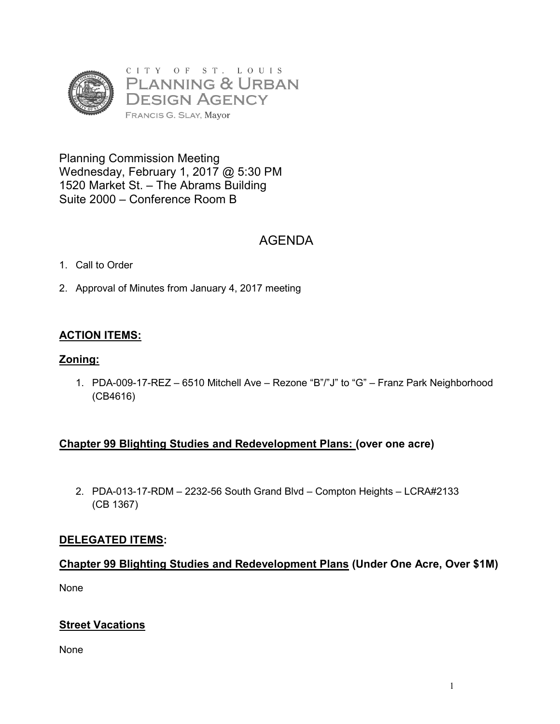

Planning Commission Meeting Wednesday, February 1, 2017 @ 5:30 PM 1520 Market St. – The Abrams Building Suite 2000 – Conference Room B

# AGENDA

- 1. Call to Order
- 2. Approval of Minutes from January 4, 2017 meeting

# **ACTION ITEMS:**

## **Zoning:**

1. PDA-009-17-REZ – 6510 Mitchell Ave – Rezone "B"/"J" to "G" – Franz Park Neighborhood (CB4616)

# **Chapter 99 Blighting Studies and Redevelopment Plans: (over one acre)**

2. PDA-013-17-RDM – 2232-56 South Grand Blvd – Compton Heights – LCRA#2133 (CB 1367)

# **DELEGATED ITEMS:**

# **Chapter 99 Blighting Studies and Redevelopment Plans (Under One Acre, Over \$1M)**

None

# **Street Vacations**

None